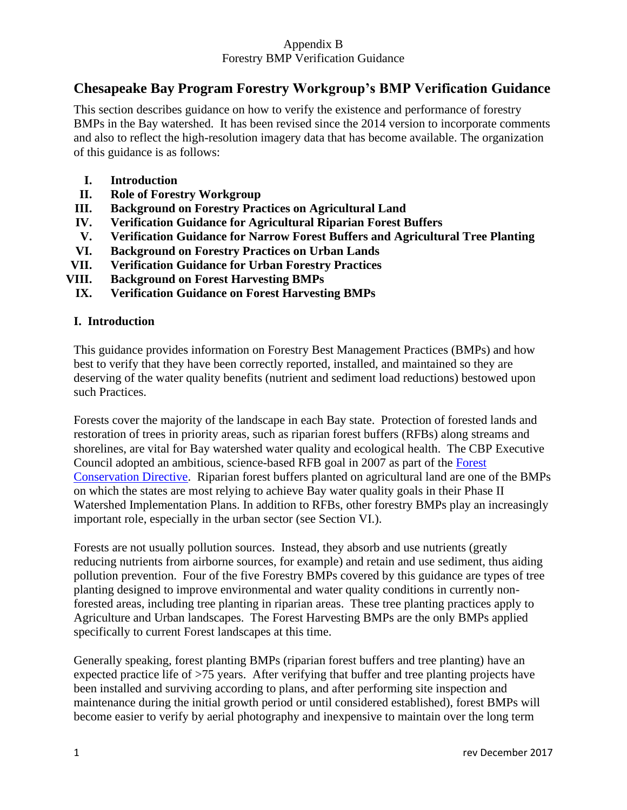# **Chesapeake Bay Program Forestry Workgroup's BMP Verification Guidance**

This section describes guidance on how to verify the existence and performance of forestry BMPs in the Bay watershed. It has been revised since the 2014 version to incorporate comments and also to reflect the high-resolution imagery data that has become available. The organization of this guidance is as follows:

- **I. Introduction**
- **II. Role of Forestry Workgroup**
- **III. Background on Forestry Practices on Agricultural Land**
- **IV. Verification Guidance for Agricultural Riparian Forest Buffers**
- **V. Verification Guidance for Narrow Forest Buffers and Agricultural Tree Planting**
- **VI. Background on Forestry Practices on Urban Lands**
- **VII. Verification Guidance for Urban Forestry Practices**
- **VIII. Background on Forest Harvesting BMPs**
	- **IX. Verification Guidance on Forest Harvesting BMPs**

## **I. Introduction**

This guidance provides information on Forestry Best Management Practices (BMPs) and how best to verify that they have been correctly reported, installed, and maintained so they are deserving of the water quality benefits (nutrient and sediment load reductions) bestowed upon such Practices.

Forests cover the majority of the landscape in each Bay state. Protection of forested lands and restoration of trees in priority areas, such as riparian forest buffers (RFBs) along streams and shorelines, are vital for Bay watershed water quality and ecological health. The CBP Executive Council adopted an ambitious, science-based RFB goal in 2007 as part of the [Forest](http://www.chesapeakebay.net/content/publications/cbp_27761.pdf)  [Conservation Directive.](http://www.chesapeakebay.net/content/publications/cbp_27761.pdf) Riparian forest buffers planted on agricultural land are one of the BMPs on which the states are most relying to achieve Bay water quality goals in their Phase II Watershed Implementation Plans. In addition to RFBs, other forestry BMPs play an increasingly important role, especially in the urban sector (see Section VI.).

Forests are not usually pollution sources. Instead, they absorb and use nutrients (greatly reducing nutrients from airborne sources, for example) and retain and use sediment, thus aiding pollution prevention. Four of the five Forestry BMPs covered by this guidance are types of tree planting designed to improve environmental and water quality conditions in currently nonforested areas, including tree planting in riparian areas. These tree planting practices apply to Agriculture and Urban landscapes. The Forest Harvesting BMPs are the only BMPs applied specifically to current Forest landscapes at this time.

Generally speaking, forest planting BMPs (riparian forest buffers and tree planting) have an expected practice life of >75 years. After verifying that buffer and tree planting projects have been installed and surviving according to plans, and after performing site inspection and maintenance during the initial growth period or until considered established), forest BMPs will become easier to verify by aerial photography and inexpensive to maintain over the long term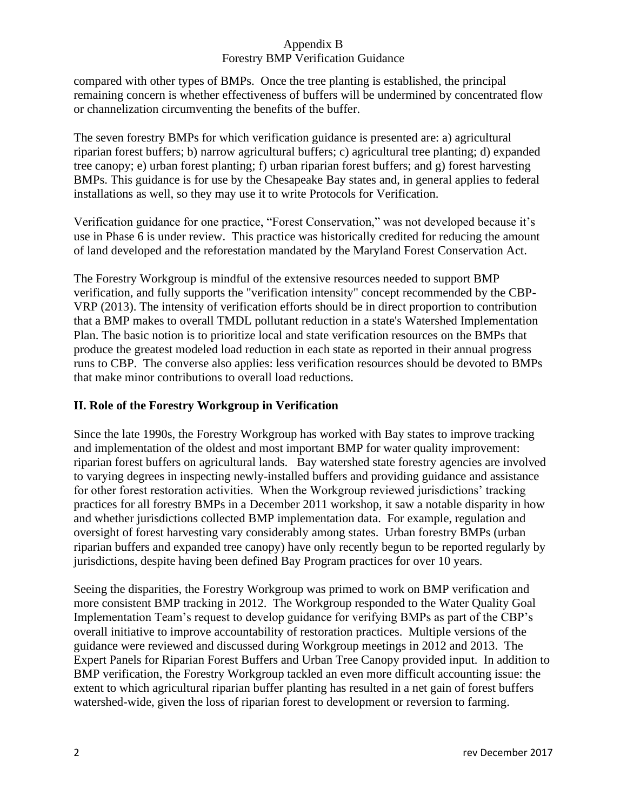compared with other types of BMPs. Once the tree planting is established, the principal remaining concern is whether effectiveness of buffers will be undermined by concentrated flow or channelization circumventing the benefits of the buffer.

The seven forestry BMPs for which verification guidance is presented are: a) agricultural riparian forest buffers; b) narrow agricultural buffers; c) agricultural tree planting; d) expanded tree canopy; e) urban forest planting; f) urban riparian forest buffers; and g) forest harvesting BMPs. This guidance is for use by the Chesapeake Bay states and, in general applies to federal installations as well, so they may use it to write Protocols for Verification.

Verification guidance for one practice, "Forest Conservation," was not developed because it's use in Phase 6 is under review. This practice was historically credited for reducing the amount of land developed and the reforestation mandated by the Maryland Forest Conservation Act.

The Forestry Workgroup is mindful of the extensive resources needed to support BMP verification, and fully supports the "verification intensity" concept recommended by the CBP-VRP (2013). The intensity of verification efforts should be in direct proportion to contribution that a BMP makes to overall TMDL pollutant reduction in a state's Watershed Implementation Plan. The basic notion is to prioritize local and state verification resources on the BMPs that produce the greatest modeled load reduction in each state as reported in their annual progress runs to CBP. The converse also applies: less verification resources should be devoted to BMPs that make minor contributions to overall load reductions.

# **II. Role of the Forestry Workgroup in Verification**

Since the late 1990s, the Forestry Workgroup has worked with Bay states to improve tracking and implementation of the oldest and most important BMP for water quality improvement: riparian forest buffers on agricultural lands. Bay watershed state forestry agencies are involved to varying degrees in inspecting newly-installed buffers and providing guidance and assistance for other forest restoration activities. When the Workgroup reviewed jurisdictions' tracking practices for all forestry BMPs in a December 2011 workshop, it saw a notable disparity in how and whether jurisdictions collected BMP implementation data. For example, regulation and oversight of forest harvesting vary considerably among states. Urban forestry BMPs (urban riparian buffers and expanded tree canopy) have only recently begun to be reported regularly by jurisdictions, despite having been defined Bay Program practices for over 10 years.

Seeing the disparities, the Forestry Workgroup was primed to work on BMP verification and more consistent BMP tracking in 2012. The Workgroup responded to the Water Quality Goal Implementation Team's request to develop guidance for verifying BMPs as part of the CBP's overall initiative to improve accountability of restoration practices. Multiple versions of the guidance were reviewed and discussed during Workgroup meetings in 2012 and 2013. The Expert Panels for Riparian Forest Buffers and Urban Tree Canopy provided input. In addition to BMP verification, the Forestry Workgroup tackled an even more difficult accounting issue: the extent to which agricultural riparian buffer planting has resulted in a net gain of forest buffers watershed-wide, given the loss of riparian forest to development or reversion to farming.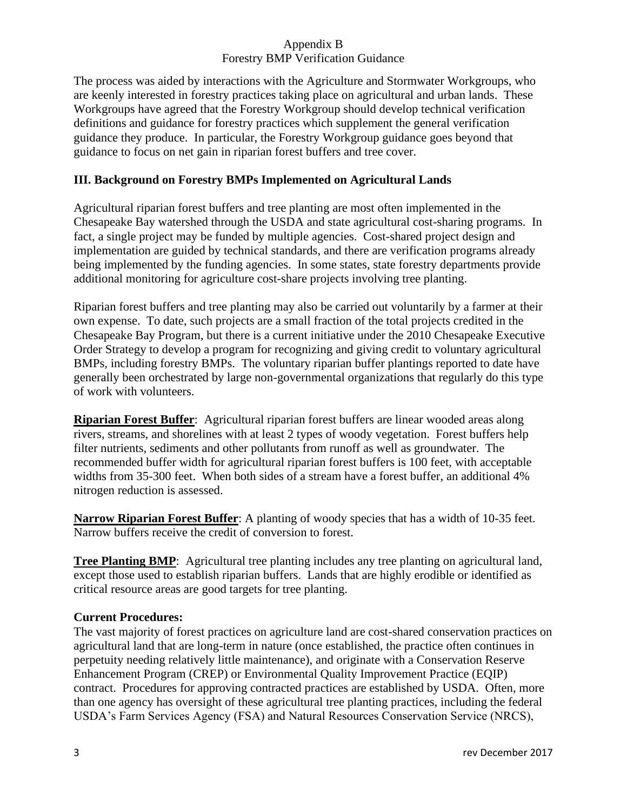The process was aided by interactions with the Agriculture and Stormwater Workgroups, who are keenly interested in forestry practices taking place on agricultural and urban lands. These Workgroups have agreed that the Forestry Workgroup should develop technical verification definitions and guidance for forestry practices which supplement the general verification guidance they produce. In particular, the Forestry Workgroup guidance goes beyond that guidance to focus on net gain in riparian forest buffers and tree cover.

# **III. Background on Forestry BMPs Implemented on Agricultural Lands**

Agricultural riparian forest buffers and tree planting are most often implemented in the Chesapeake Bay watershed through the USDA and state agricultural cost-sharing programs. In fact, a single project may be funded by multiple agencies. Cost-shared project design and implementation are guided by technical standards, and there are verification programs already being implemented by the funding agencies. In some states, state forestry departments provide additional monitoring for agriculture cost-share projects involving tree planting.

Riparian forest buffers and tree planting may also be carried out voluntarily by a farmer at their own expense. To date, such projects are a small fraction of the total projects credited in the Chesapeake Bay Program, but there is a current initiative under the 2010 Chesapeake Executive Order Strategy to develop a program for recognizing and giving credit to voluntary agricultural BMPs, including forestry BMPs. The voluntary riparian buffer plantings reported to date have generally been orchestrated by large non-governmental organizations that regularly do this type of work with volunteers.

**Riparian Forest Buffer**: Agricultural riparian forest buffers are linear wooded areas along rivers, streams, and shorelines with at least 2 types of woody vegetation. Forest buffers help filter nutrients, sediments and other pollutants from runoff as well as groundwater. The recommended buffer width for agricultural riparian forest buffers is 100 feet, with acceptable widths from 35-300 feet. When both sides of a stream have a forest buffer, an additional 4% nitrogen reduction is assessed.

**Narrow Riparian Forest Buffer**: A planting of woody species that has a width of 10-35 feet. Narrow buffers receive the credit of conversion to forest.

**Tree Planting BMP**: Agricultural tree planting includes any tree planting on agricultural land, except those used to establish riparian buffers. Lands that are highly erodible or identified as critical resource areas are good targets for tree planting.

## **Current Procedures:**

The vast majority of forest practices on agriculture land are cost-shared conservation practices on agricultural land that are long-term in nature (once established, the practice often continues in perpetuity needing relatively little maintenance), and originate with a Conservation Reserve Enhancement Program (CREP) or Environmental Quality Improvement Practice (EQIP) contract. Procedures for approving contracted practices are established by USDA. Often, more than one agency has oversight of these agricultural tree planting practices, including the federal USDA's Farm Services Agency (FSA) and Natural Resources Conservation Service (NRCS),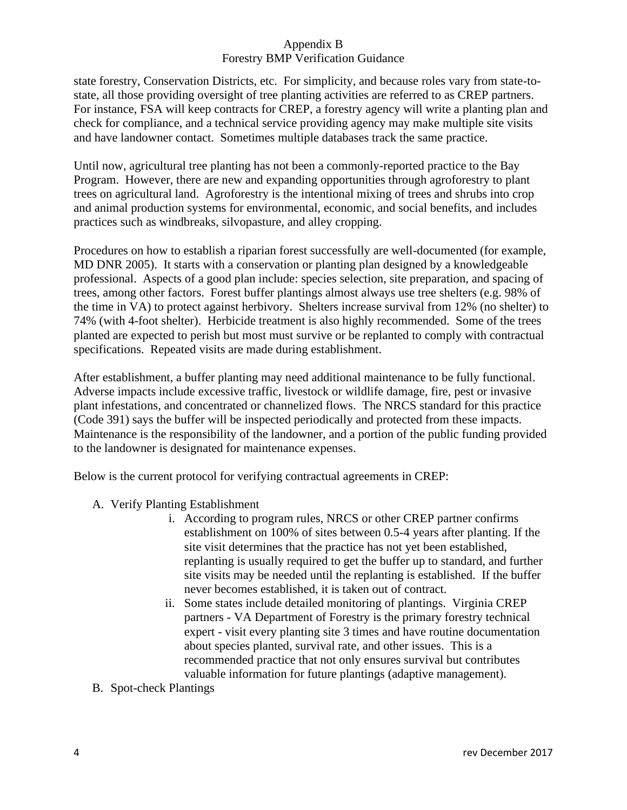state forestry, Conservation Districts, etc. For simplicity, and because roles vary from state-tostate, all those providing oversight of tree planting activities are referred to as CREP partners. For instance, FSA will keep contracts for CREP, a forestry agency will write a planting plan and check for compliance, and a technical service providing agency may make multiple site visits and have landowner contact. Sometimes multiple databases track the same practice.

Until now, agricultural tree planting has not been a commonly-reported practice to the Bay Program. However, there are new and expanding opportunities through agroforestry to plant trees on agricultural land. Agroforestry is the intentional mixing of trees and shrubs into crop and animal production systems for environmental, economic, and social benefits, and includes practices such as windbreaks, silvopasture, and alley cropping.

Procedures on how to establish a riparian forest successfully are well-documented (for example, MD DNR 2005). It starts with a conservation or planting plan designed by a knowledgeable professional. Aspects of a good plan include: species selection, site preparation, and spacing of trees, among other factors. Forest buffer plantings almost always use tree shelters (e.g. 98% of the time in VA) to protect against herbivory. Shelters increase survival from 12% (no shelter) to 74% (with 4-foot shelter). Herbicide treatment is also highly recommended. Some of the trees planted are expected to perish but most must survive or be replanted to comply with contractual specifications. Repeated visits are made during establishment.

After establishment, a buffer planting may need additional maintenance to be fully functional. Adverse impacts include excessive traffic, livestock or wildlife damage, fire, pest or invasive plant infestations, and concentrated or channelized flows. The NRCS standard for this practice (Code 391) says the buffer will be inspected periodically and protected from these impacts. Maintenance is the responsibility of the landowner, and a portion of the public funding provided to the landowner is designated for maintenance expenses.

Below is the current protocol for verifying contractual agreements in CREP:

- A. Verify Planting Establishment
	- i. According to program rules, NRCS or other CREP partner confirms establishment on 100% of sites between 0.5-4 years after planting. If the site visit determines that the practice has not yet been established, replanting is usually required to get the buffer up to standard, and further site visits may be needed until the replanting is established. If the buffer never becomes established, it is taken out of contract.
	- ii. Some states include detailed monitoring of plantings. Virginia CREP partners - VA Department of Forestry is the primary forestry technical expert - visit every planting site 3 times and have routine documentation about species planted, survival rate, and other issues. This is a recommended practice that not only ensures survival but contributes valuable information for future plantings (adaptive management).
- B. Spot-check Plantings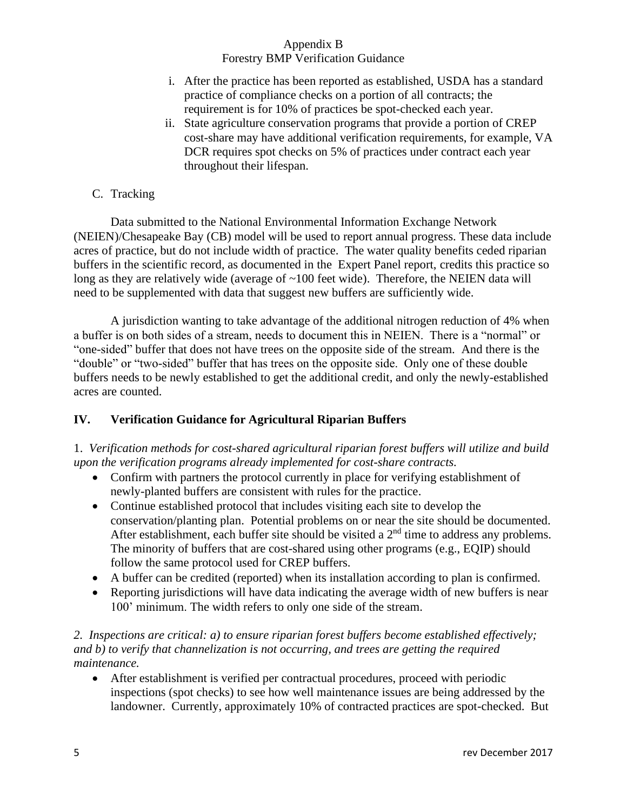- i. After the practice has been reported as established, USDA has a standard practice of compliance checks on a portion of all contracts; the requirement is for 10% of practices be spot-checked each year.
- ii. State agriculture conservation programs that provide a portion of CREP cost-share may have additional verification requirements, for example, VA DCR requires spot checks on 5% of practices under contract each year throughout their lifespan.

## C. Tracking

Data submitted to the National Environmental Information Exchange Network (NEIEN)/Chesapeake Bay (CB) model will be used to report annual progress. These data include acres of practice, but do not include width of practice. The water quality benefits ceded riparian buffers in the scientific record, as documented in the Expert Panel report, credits this practice so long as they are relatively wide (average of ~100 feet wide). Therefore, the NEIEN data will need to be supplemented with data that suggest new buffers are sufficiently wide.

A jurisdiction wanting to take advantage of the additional nitrogen reduction of 4% when a buffer is on both sides of a stream, needs to document this in NEIEN. There is a "normal" or "one-sided" buffer that does not have trees on the opposite side of the stream. And there is the "double" or "two-sided" buffer that has trees on the opposite side. Only one of these double buffers needs to be newly established to get the additional credit, and only the newly-established acres are counted.

## **IV. Verification Guidance for Agricultural Riparian Buffers**

1. *Verification methods for cost-shared agricultural riparian forest buffers will utilize and build upon the verification programs already implemented for cost-share contracts.*

- Confirm with partners the protocol currently in place for verifying establishment of newly-planted buffers are consistent with rules for the practice.
- Continue established protocol that includes visiting each site to develop the conservation/planting plan. Potential problems on or near the site should be documented. After establishment, each buffer site should be visited a  $2<sup>nd</sup>$  time to address any problems. The minority of buffers that are cost-shared using other programs (e.g., EQIP) should follow the same protocol used for CREP buffers.
- A buffer can be credited (reported) when its installation according to plan is confirmed.
- Reporting jurisdictions will have data indicating the average width of new buffers is near 100' minimum. The width refers to only one side of the stream.

### *2. Inspections are critical: a) to ensure riparian forest buffers become established effectively; and b) to verify that channelization is not occurring, and trees are getting the required maintenance.*

• After establishment is verified per contractual procedures, proceed with periodic inspections (spot checks) to see how well maintenance issues are being addressed by the landowner. Currently, approximately 10% of contracted practices are spot-checked. But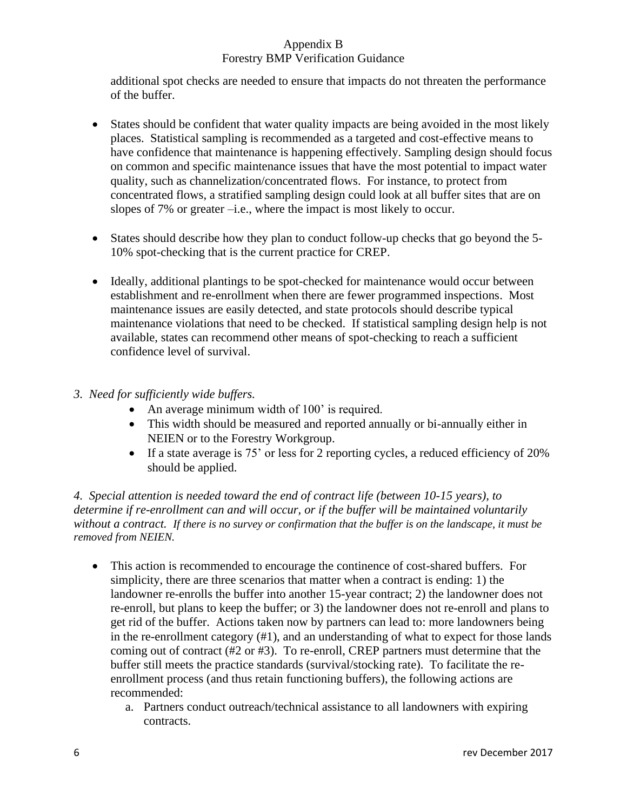additional spot checks are needed to ensure that impacts do not threaten the performance of the buffer.

- States should be confident that water quality impacts are being avoided in the most likely places. Statistical sampling is recommended as a targeted and cost-effective means to have confidence that maintenance is happening effectively. Sampling design should focus on common and specific maintenance issues that have the most potential to impact water quality, such as channelization/concentrated flows. For instance, to protect from concentrated flows, a stratified sampling design could look at all buffer sites that are on slopes of 7% or greater –i.e., where the impact is most likely to occur.
- States should describe how they plan to conduct follow-up checks that go beyond the 5-10% spot-checking that is the current practice for CREP.
- Ideally, additional plantings to be spot-checked for maintenance would occur between establishment and re-enrollment when there are fewer programmed inspections. Most maintenance issues are easily detected, and state protocols should describe typical maintenance violations that need to be checked. If statistical sampling design help is not available, states can recommend other means of spot-checking to reach a sufficient confidence level of survival.
- *3. Need for sufficiently wide buffers.*
	- An average minimum width of 100' is required.
	- This width should be measured and reported annually or bi-annually either in NEIEN or to the Forestry Workgroup.
	- If a state average is 75' or less for 2 reporting cycles, a reduced efficiency of 20% should be applied.

*4. Special attention is needed toward the end of contract life (between 10-15 years), to determine if re-enrollment can and will occur, or if the buffer will be maintained voluntarily without a contract. If there is no survey or confirmation that the buffer is on the landscape, it must be removed from NEIEN.*

- This action is recommended to encourage the continence of cost-shared buffers. For simplicity, there are three scenarios that matter when a contract is ending: 1) the landowner re-enrolls the buffer into another 15-year contract; 2) the landowner does not re-enroll, but plans to keep the buffer; or 3) the landowner does not re-enroll and plans to get rid of the buffer. Actions taken now by partners can lead to: more landowners being in the re-enrollment category (#1), and an understanding of what to expect for those lands coming out of contract (#2 or #3). To re-enroll, CREP partners must determine that the buffer still meets the practice standards (survival/stocking rate). To facilitate the reenrollment process (and thus retain functioning buffers), the following actions are recommended:
	- a. Partners conduct outreach/technical assistance to all landowners with expiring contracts.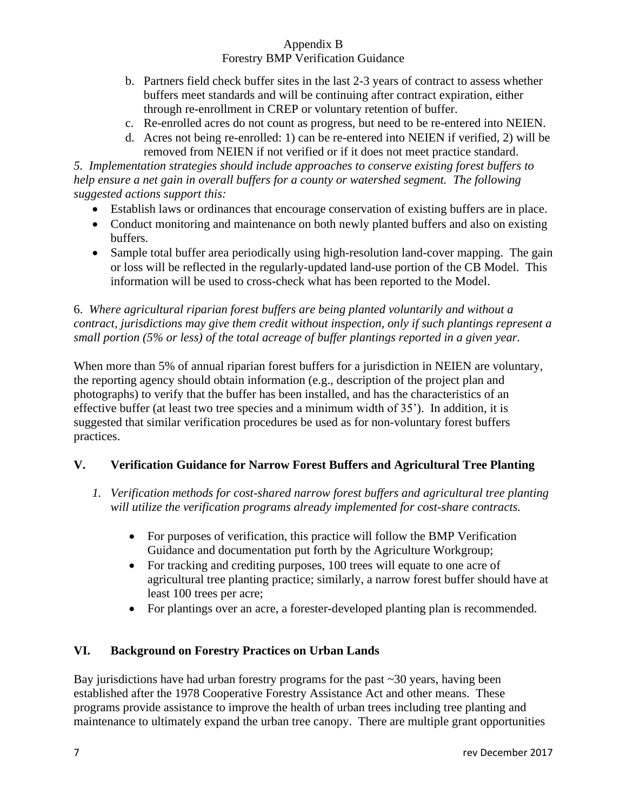- b. Partners field check buffer sites in the last 2-3 years of contract to assess whether buffers meet standards and will be continuing after contract expiration, either through re-enrollment in CREP or voluntary retention of buffer.
- c. Re-enrolled acres do not count as progress, but need to be re-entered into NEIEN.
- d. Acres not being re-enrolled: 1) can be re-entered into NEIEN if verified, 2) will be removed from NEIEN if not verified or if it does not meet practice standard.

*5. Implementation strategies should include approaches to conserve existing forest buffers to help ensure a net gain in overall buffers for a county or watershed segment. The following suggested actions support this:*

- Establish laws or ordinances that encourage conservation of existing buffers are in place.
- Conduct monitoring and maintenance on both newly planted buffers and also on existing buffers.
- Sample total buffer area periodically using high-resolution land-cover mapping. The gain or loss will be reflected in the regularly-updated land-use portion of the CB Model. This information will be used to cross-check what has been reported to the Model.

6. *Where agricultural riparian forest buffers are being planted voluntarily and without a contract, jurisdictions may give them credit without inspection, only if such plantings represent a small portion (5% or less) of the total acreage of buffer plantings reported in a given year.*

When more than 5% of annual riparian forest buffers for a jurisdiction in NEIEN are voluntary, the reporting agency should obtain information (e.g., description of the project plan and photographs) to verify that the buffer has been installed, and has the characteristics of an effective buffer (at least two tree species and a minimum width of 35'). In addition, it is suggested that similar verification procedures be used as for non-voluntary forest buffers practices.

# **V. Verification Guidance for Narrow Forest Buffers and Agricultural Tree Planting**

- *1. Verification methods for cost-shared narrow forest buffers and agricultural tree planting will utilize the verification programs already implemented for cost-share contracts.*
	- For purposes of verification, this practice will follow the BMP Verification Guidance and documentation put forth by the Agriculture Workgroup;
	- For tracking and crediting purposes, 100 trees will equate to one acre of agricultural tree planting practice; similarly, a narrow forest buffer should have at least 100 trees per acre;
	- For plantings over an acre, a forester-developed planting plan is recommended.

# **VI. Background on Forestry Practices on Urban Lands**

Bay jurisdictions have had urban forestry programs for the past  $\sim$  30 years, having been established after the 1978 Cooperative Forestry Assistance Act and other means. These programs provide assistance to improve the health of urban trees including tree planting and maintenance to ultimately expand the urban tree canopy. There are multiple grant opportunities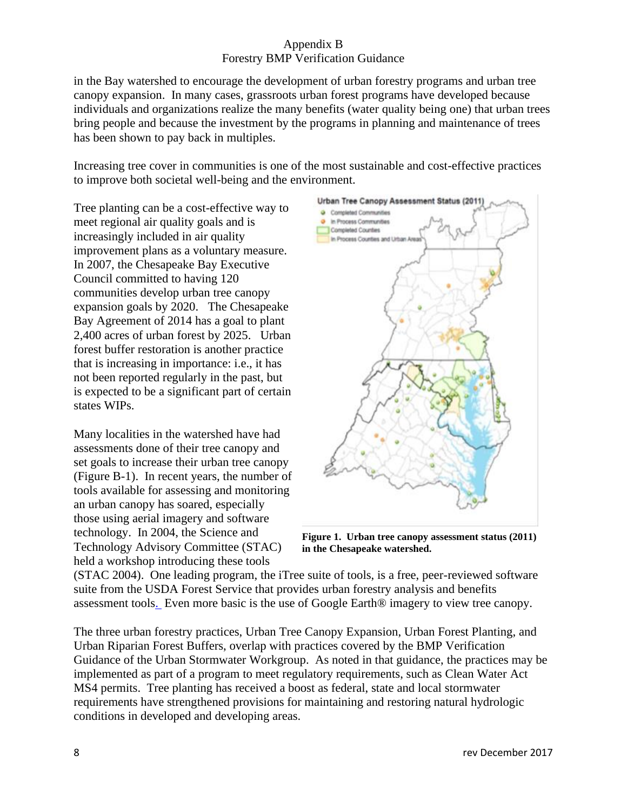in the Bay watershed to encourage the development of urban forestry programs and urban tree canopy expansion. In many cases, grassroots urban forest programs have developed because individuals and organizations realize the many benefits (water quality being one) that urban trees bring people and because the investment by the programs in planning and maintenance of trees has been shown to pay back in multiples.

Increasing tree cover in communities is one of the most sustainable and cost-effective practices to improve both societal well-being and the environment.

Tree planting can be a cost-effective way to meet regional air quality goals and is increasingly included in air quality improvement plans as a voluntary measure. In 2007, the Chesapeake Bay Executive Council committed to having 120 communities develop urban tree canopy expansion goals by 2020. The Chesapeake Bay Agreement of 2014 has a goal to plant 2,400 acres of urban forest by 2025. Urban forest buffer restoration is another practice that is increasing in importance: i.e., it has not been reported regularly in the past, but is expected to be a significant part of certain states WIPs.

Many localities in the watershed have had assessments done of their tree canopy and set goals to increase their urban tree canopy (Figure B-1). In recent years, the number of tools available for assessing and monitoring an urban canopy has soared, especially those using aerial imagery and software technology. In 2004, the Science and Technology Advisory Committee (STAC) held a workshop introducing these tools



**Figure 1. Urban tree canopy assessment status (2011) in the Chesapeake watershed.**

(STAC 2004). One leading program, the iTree suite of tools, is a free, peer-reviewed software suite from the USDA Forest Service that provides urban forestry analysis and benefits assessment tools. Even more basic is the use of Google Earth® imagery to view tree canopy.

The three urban forestry practices, Urban Tree Canopy Expansion, Urban Forest Planting, and Urban Riparian Forest Buffers, overlap with practices covered by the BMP Verification Guidance of the Urban Stormwater Workgroup. As noted in that guidance, the practices may be implemented as part of a program to meet regulatory requirements, such as Clean Water Act MS4 permits. Tree planting has received a boost as federal, state and local stormwater requirements have strengthened provisions for maintaining and restoring natural hydrologic conditions in developed and developing areas.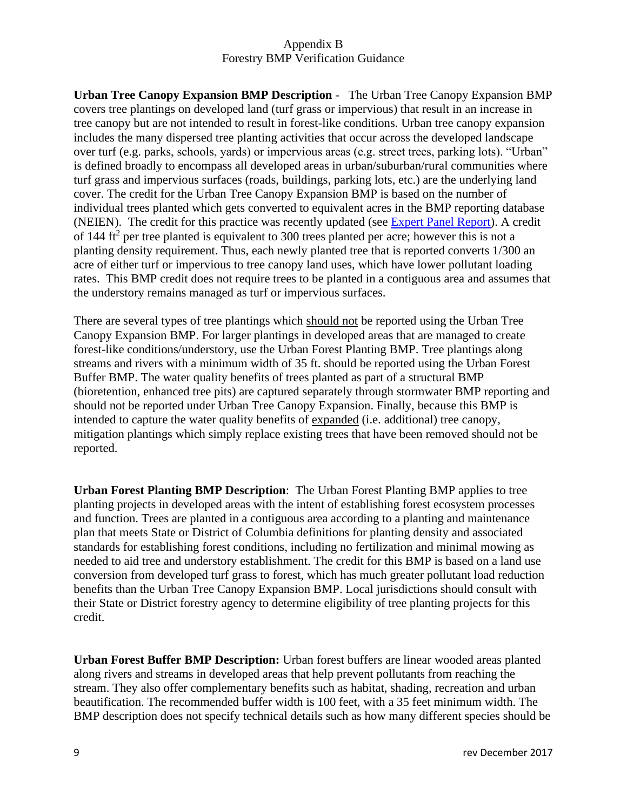**Urban Tree Canopy Expansion BMP Description** - The Urban Tree Canopy Expansion BMP covers tree plantings on developed land (turf grass or impervious) that result in an increase in tree canopy but are not intended to result in forest-like conditions. Urban tree canopy expansion includes the many dispersed tree planting activities that occur across the developed landscape over turf (e.g. parks, schools, yards) or impervious areas (e.g. street trees, parking lots). "Urban" is defined broadly to encompass all developed areas in urban/suburban/rural communities where turf grass and impervious surfaces (roads, buildings, parking lots, etc.) are the underlying land cover. The credit for the Urban Tree Canopy Expansion BMP is based on the number of individual trees planted which gets converted to equivalent acres in the BMP reporting database (NEIEN). The credit for this practice was recently updated (see [Expert Panel Report\)](http://www.chesapeakebay.net/documents/Urban_Tree_Canopy_EP_Report_WQGIT_approved_final.pdf). A credit of 144 ft<sup>2</sup> per tree planted is equivalent to 300 trees planted per acre; however this is not a planting density requirement. Thus, each newly planted tree that is reported converts 1/300 an acre of either turf or impervious to tree canopy land uses, which have lower pollutant loading rates. This BMP credit does not require trees to be planted in a contiguous area and assumes that the understory remains managed as turf or impervious surfaces.

There are several types of tree plantings which should not be reported using the Urban Tree Canopy Expansion BMP. For larger plantings in developed areas that are managed to create forest-like conditions/understory, use the Urban Forest Planting BMP. Tree plantings along streams and rivers with a minimum width of 35 ft. should be reported using the Urban Forest Buffer BMP. The water quality benefits of trees planted as part of a structural BMP (bioretention, enhanced tree pits) are captured separately through stormwater BMP reporting and should not be reported under Urban Tree Canopy Expansion. Finally, because this BMP is intended to capture the water quality benefits of expanded (i.e. additional) tree canopy, mitigation plantings which simply replace existing trees that have been removed should not be reported.

**Urban Forest Planting BMP Description**: The Urban Forest Planting BMP applies to tree planting projects in developed areas with the intent of establishing forest ecosystem processes and function. Trees are planted in a contiguous area according to a planting and maintenance plan that meets State or District of Columbia definitions for planting density and associated standards for establishing forest conditions, including no fertilization and minimal mowing as needed to aid tree and understory establishment. The credit for this BMP is based on a land use conversion from developed turf grass to forest, which has much greater pollutant load reduction benefits than the Urban Tree Canopy Expansion BMP. Local jurisdictions should consult with their State or District forestry agency to determine eligibility of tree planting projects for this credit.

**Urban Forest Buffer BMP Description:** Urban forest buffers are linear wooded areas planted along rivers and streams in developed areas that help prevent pollutants from reaching the stream. They also offer complementary benefits such as habitat, shading, recreation and urban beautification. The recommended buffer width is 100 feet, with a 35 feet minimum width. The BMP description does not specify technical details such as how many different species should be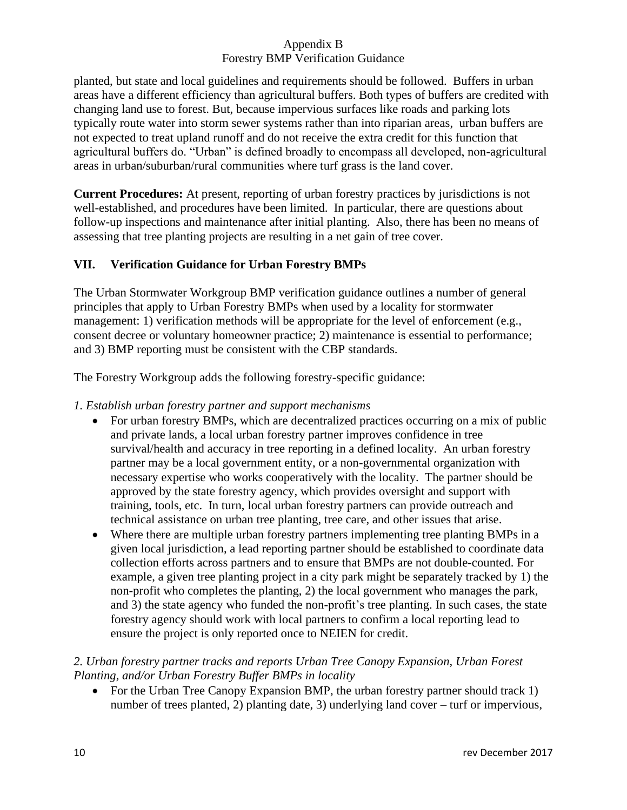planted, but state and local guidelines and requirements should be followed. Buffers in urban areas have a different efficiency than agricultural buffers. Both types of buffers are credited with changing land use to forest. But, because impervious surfaces like roads and parking lots typically route water into storm sewer systems rather than into riparian areas, urban buffers are not expected to treat upland runoff and do not receive the extra credit for this function that agricultural buffers do. "Urban" is defined broadly to encompass all developed, non-agricultural areas in urban/suburban/rural communities where turf grass is the land cover.

**Current Procedures:** At present, reporting of urban forestry practices by jurisdictions is not well-established, and procedures have been limited. In particular, there are questions about follow-up inspections and maintenance after initial planting. Also, there has been no means of assessing that tree planting projects are resulting in a net gain of tree cover.

# **VII. Verification Guidance for Urban Forestry BMPs**

The Urban Stormwater Workgroup BMP verification guidance outlines a number of general principles that apply to Urban Forestry BMPs when used by a locality for stormwater management: 1) verification methods will be appropriate for the level of enforcement (e.g., consent decree or voluntary homeowner practice; 2) maintenance is essential to performance; and 3) BMP reporting must be consistent with the CBP standards.

The Forestry Workgroup adds the following forestry-specific guidance:

# *1. Establish urban forestry partner and support mechanisms*

- For urban forestry BMPs, which are decentralized practices occurring on a mix of public and private lands, a local urban forestry partner improves confidence in tree survival/health and accuracy in tree reporting in a defined locality. An urban forestry partner may be a local government entity, or a non-governmental organization with necessary expertise who works cooperatively with the locality. The partner should be approved by the state forestry agency, which provides oversight and support with training, tools, etc. In turn, local urban forestry partners can provide outreach and technical assistance on urban tree planting, tree care, and other issues that arise.
- Where there are multiple urban forestry partners implementing tree planting BMPs in a given local jurisdiction, a lead reporting partner should be established to coordinate data collection efforts across partners and to ensure that BMPs are not double-counted. For example, a given tree planting project in a city park might be separately tracked by 1) the non-profit who completes the planting, 2) the local government who manages the park, and 3) the state agency who funded the non-profit's tree planting. In such cases, the state forestry agency should work with local partners to confirm a local reporting lead to ensure the project is only reported once to NEIEN for credit.

# *2. Urban forestry partner tracks and reports Urban Tree Canopy Expansion, Urban Forest Planting, and/or Urban Forestry Buffer BMPs in locality*

• For the Urban Tree Canopy Expansion BMP, the urban forestry partner should track 1) number of trees planted, 2) planting date, 3) underlying land cover – turf or impervious,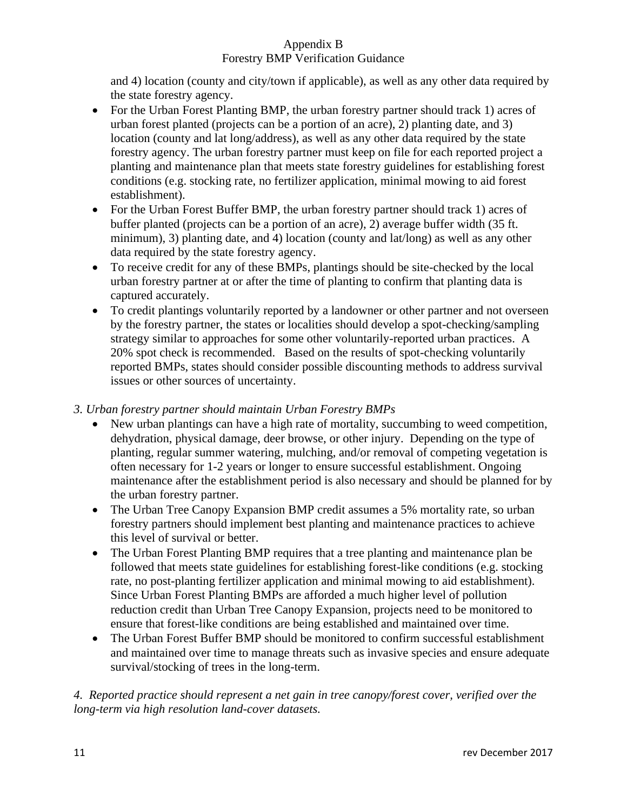# Appendix B

# Forestry BMP Verification Guidance

and 4) location (county and city/town if applicable), as well as any other data required by the state forestry agency.

- For the Urban Forest Planting BMP, the urban forestry partner should track 1) acres of urban forest planted (projects can be a portion of an acre), 2) planting date, and 3) location (county and lat long/address), as well as any other data required by the state forestry agency. The urban forestry partner must keep on file for each reported project a planting and maintenance plan that meets state forestry guidelines for establishing forest conditions (e.g. stocking rate, no fertilizer application, minimal mowing to aid forest establishment).
- For the Urban Forest Buffer BMP, the urban forestry partner should track 1) acres of buffer planted (projects can be a portion of an acre), 2) average buffer width (35 ft. minimum), 3) planting date, and 4) location (county and lat/long) as well as any other data required by the state forestry agency.
- To receive credit for any of these BMPs, plantings should be site-checked by the local urban forestry partner at or after the time of planting to confirm that planting data is captured accurately.
- To credit plantings voluntarily reported by a landowner or other partner and not overseen by the forestry partner, the states or localities should develop a spot-checking/sampling strategy similar to approaches for some other voluntarily-reported urban practices. A 20% spot check is recommended. Based on the results of spot-checking voluntarily reported BMPs, states should consider possible discounting methods to address survival issues or other sources of uncertainty.

## *3. Urban forestry partner should maintain Urban Forestry BMPs*

- New urban plantings can have a high rate of mortality, succumbing to weed competition, dehydration, physical damage, deer browse, or other injury. Depending on the type of planting, regular summer watering, mulching, and/or removal of competing vegetation is often necessary for 1-2 years or longer to ensure successful establishment. Ongoing maintenance after the establishment period is also necessary and should be planned for by the urban forestry partner.
- The Urban Tree Canopy Expansion BMP credit assumes a 5% mortality rate, so urban forestry partners should implement best planting and maintenance practices to achieve this level of survival or better.
- The Urban Forest Planting BMP requires that a tree planting and maintenance plan be followed that meets state guidelines for establishing forest-like conditions (e.g. stocking rate, no post-planting fertilizer application and minimal mowing to aid establishment). Since Urban Forest Planting BMPs are afforded a much higher level of pollution reduction credit than Urban Tree Canopy Expansion, projects need to be monitored to ensure that forest-like conditions are being established and maintained over time.
- The Urban Forest Buffer BMP should be monitored to confirm successful establishment and maintained over time to manage threats such as invasive species and ensure adequate survival/stocking of trees in the long-term.

# *4. Reported practice should represent a net gain in tree canopy/forest cover, verified over the long-term via high resolution land-cover datasets.*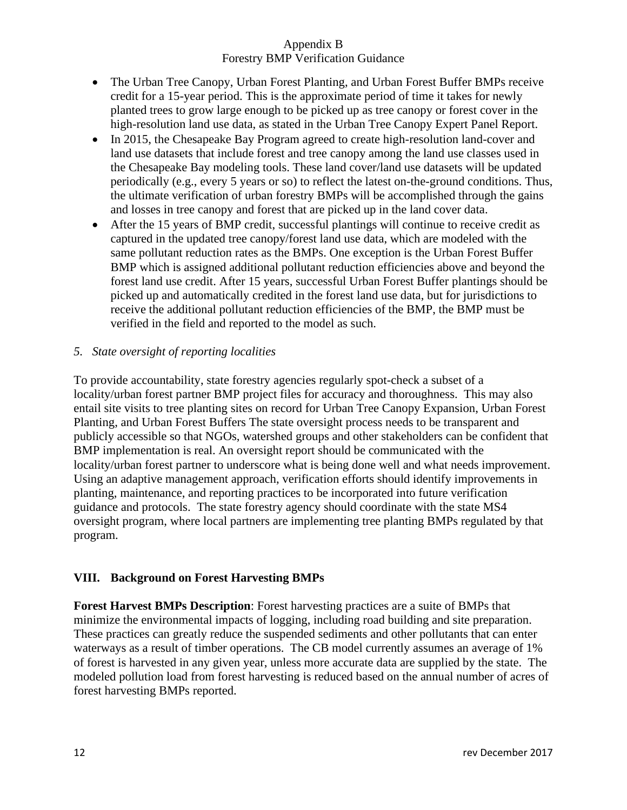- The Urban Tree Canopy, Urban Forest Planting, and Urban Forest Buffer BMPs receive credit for a 15-year period. This is the approximate period of time it takes for newly planted trees to grow large enough to be picked up as tree canopy or forest cover in the high-resolution land use data, as stated in the Urban Tree Canopy Expert Panel Report.
- In 2015, the Chesapeake Bay Program agreed to create high-resolution land-cover and land use datasets that include forest and tree canopy among the land use classes used in the Chesapeake Bay modeling tools. These land cover/land use datasets will be updated periodically (e.g., every 5 years or so) to reflect the latest on-the-ground conditions. Thus, the ultimate verification of urban forestry BMPs will be accomplished through the gains and losses in tree canopy and forest that are picked up in the land cover data.
- After the 15 years of BMP credit, successful plantings will continue to receive credit as captured in the updated tree canopy/forest land use data, which are modeled with the same pollutant reduction rates as the BMPs. One exception is the Urban Forest Buffer BMP which is assigned additional pollutant reduction efficiencies above and beyond the forest land use credit. After 15 years, successful Urban Forest Buffer plantings should be picked up and automatically credited in the forest land use data, but for jurisdictions to receive the additional pollutant reduction efficiencies of the BMP, the BMP must be verified in the field and reported to the model as such.

## *5. State oversight of reporting localities*

To provide accountability, state forestry agencies regularly spot-check a subset of a locality/urban forest partner BMP project files for accuracy and thoroughness. This may also entail site visits to tree planting sites on record for Urban Tree Canopy Expansion, Urban Forest Planting, and Urban Forest Buffers The state oversight process needs to be transparent and publicly accessible so that NGOs, watershed groups and other stakeholders can be confident that BMP implementation is real. An oversight report should be communicated with the locality/urban forest partner to underscore what is being done well and what needs improvement. Using an adaptive management approach, verification efforts should identify improvements in planting, maintenance, and reporting practices to be incorporated into future verification guidance and protocols. The state forestry agency should coordinate with the state MS4 oversight program, where local partners are implementing tree planting BMPs regulated by that program.

# **VIII. Background on Forest Harvesting BMPs**

**Forest Harvest BMPs Description**: Forest harvesting practices are a suite of BMPs that minimize the environmental impacts of logging, including road building and site preparation. These practices can greatly reduce the suspended sediments and other pollutants that can enter waterways as a result of timber operations. The CB model currently assumes an average of 1% of forest is harvested in any given year, unless more accurate data are supplied by the state. The modeled pollution load from forest harvesting is reduced based on the annual number of acres of forest harvesting BMPs reported.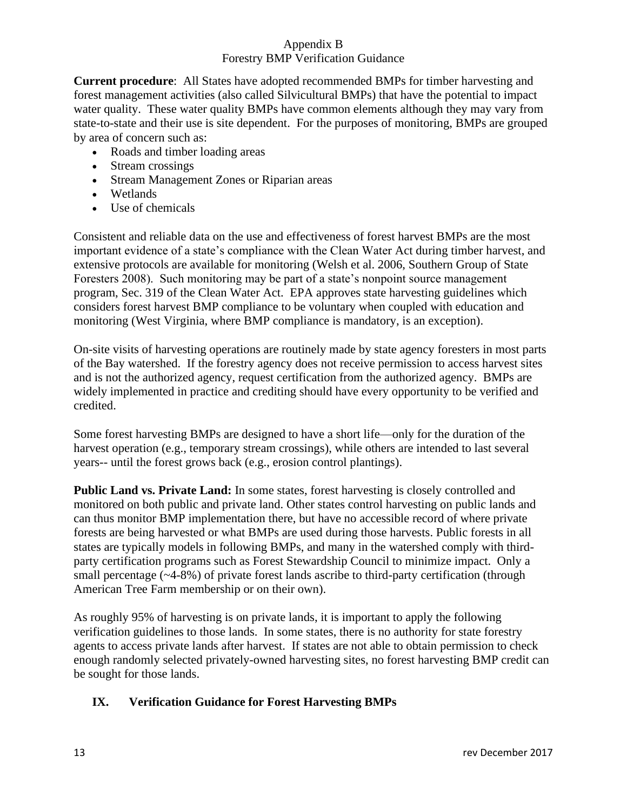**Current procedure**: All States have adopted recommended BMPs for timber harvesting and forest management activities (also called Silvicultural BMPs) that have the potential to impact water quality. These water quality BMPs have common elements although they may vary from state-to-state and their use is site dependent. For the purposes of monitoring, BMPs are grouped by area of concern such as:

- Roads and timber loading areas
- Stream crossings
- Stream Management Zones or Riparian areas
- Wetlands
- Use of chemicals

Consistent and reliable data on the use and effectiveness of forest harvest BMPs are the most important evidence of a state's compliance with the Clean Water Act during timber harvest, and extensive protocols are available for monitoring (Welsh et al. 2006, Southern Group of State Foresters 2008). Such monitoring may be part of a state's nonpoint source management program, Sec. 319 of the Clean Water Act. EPA approves state harvesting guidelines which considers forest harvest BMP compliance to be voluntary when coupled with education and monitoring (West Virginia, where BMP compliance is mandatory, is an exception).

On-site visits of harvesting operations are routinely made by state agency foresters in most parts of the Bay watershed. If the forestry agency does not receive permission to access harvest sites and is not the authorized agency, request certification from the authorized agency. BMPs are widely implemented in practice and crediting should have every opportunity to be verified and credited.

Some forest harvesting BMPs are designed to have a short life—only for the duration of the harvest operation (e.g., temporary stream crossings), while others are intended to last several years-- until the forest grows back (e.g., erosion control plantings).

**Public Land vs. Private Land:** In some states, forest harvesting is closely controlled and monitored on both public and private land. Other states control harvesting on public lands and can thus monitor BMP implementation there, but have no accessible record of where private forests are being harvested or what BMPs are used during those harvests. Public forests in all states are typically models in following BMPs, and many in the watershed comply with thirdparty certification programs such as Forest Stewardship Council to minimize impact. Only a small percentage (~4-8%) of private forest lands ascribe to third-party certification (through American Tree Farm membership or on their own).

As roughly 95% of harvesting is on private lands, it is important to apply the following verification guidelines to those lands. In some states, there is no authority for state forestry agents to access private lands after harvest. If states are not able to obtain permission to check enough randomly selected privately-owned harvesting sites, no forest harvesting BMP credit can be sought for those lands.

# **IX. Verification Guidance for Forest Harvesting BMPs**